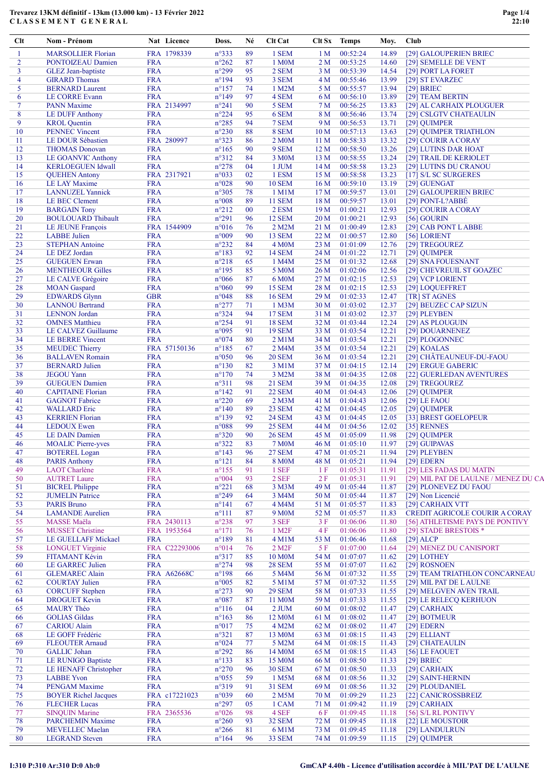## Trevarez 13KM définitif - 13km (13.000 km) - 13 Février 2022 CLASSEMENT GENERAL

| Clt            | Nom - Prénom                                    |                          | Nat Licence        | Doss.                            | Né       | Clt Cat                       |                                    | Clt Sx Temps         | Moy.           | Club                                 |
|----------------|-------------------------------------------------|--------------------------|--------------------|----------------------------------|----------|-------------------------------|------------------------------------|----------------------|----------------|--------------------------------------|
| 1              | <b>MARSOLLIER Florian</b>                       |                          | FRA 1798339        | $n^{\circ}333$                   | 89       | 1 SEM                         | 1 <sub>M</sub>                     | 00:52:24             | 14.89          | [29] GALOUPERIEN BRIEC               |
| $\overline{2}$ | PONTOIZEAU Damien                               | <b>FRA</b>               |                    | $n^{\circ}262$                   | 87       | 1 M0M                         | 2 M                                | 00:53:25             | 14.60          | [29] SEMELLE DE VENT                 |
| 3              | <b>GLEZ</b> Jean-baptiste                       | <b>FRA</b>               |                    | $n^{\circ}299$                   | 95       | 2 SEM                         | 3 M                                | 00:53:39             | 14.54          | [29] PORT LA FORET                   |
| 4              | <b>GIRARD Thomas</b>                            | <b>FRA</b>               |                    | $n^{\circ}194$                   | 93       | 3 SEM                         | 4 M                                | 00:55:46             | 13.99          | [29] ST EVARZEC                      |
| 5              | <b>BERNARD Laurent</b>                          | <b>FRA</b>               |                    | $n^{\circ}157$                   | 74       | 1 M2M                         | 5 M                                | 00:55:57             | 13.94          | $[29]$ BRIEC                         |
| 6              | <b>LE CORRE Evann</b>                           | <b>FRA</b>               |                    | $n^{\circ}149$                   | 97       | 4 SEM                         | 6 M                                | 00:56:10             | 13.89          | [29] TEAM BERTIN                     |
| $\tau$         | <b>PANN Maxime</b>                              |                          | FRA 2134997        | $n^{\circ}241$                   | 90       | 5 SEM                         | 7 M                                | 00:56:25             | 13.83          | [29] AL CARHAIX PLOUGUER             |
| 8              | <b>LE DUFF Anthony</b>                          | <b>FRA</b>               |                    | $n^{\circ}224$                   | 95       | 6 SEM                         | 8 M                                | 00:56:46             | 13.74          | [29] CSLGTV CHATEAULIN               |
| 9              | <b>KROL</b> Quentin                             | <b>FRA</b>               |                    | $n^{\circ}285$                   | 94       | 7 SEM                         | 9 M                                | 00:56:53             | 13.71          | [29] QUIMPER                         |
| 10             | <b>PENNEC Vincent</b>                           | <b>FRA</b>               |                    | $n^{\circ}230$                   | 88       | 8 SEM                         | 10 <sub>M</sub>                    | 00:57:13             | 13.63          | [29] QUIMPER TRIATHLON               |
| 11             | LE DOUR Sébastien                               |                          | FRA 280997         | $n^{\circ}323$                   | 86       | 2 M <sub>0</sub> M            | 11 <sub>M</sub>                    | 00:58:33             | 13.32          | [29] COURIR A CORAY                  |
| 12             | <b>THOMAS Donovan</b>                           | <b>FRA</b>               |                    | $n^{\circ}165$                   | 90       | 9 SEM                         | 12 <sub>M</sub>                    | 00:58:50             | 13.26          | [29] LUTINS DAR HOAT                 |
| 13             | <b>LE GOANVIC Anthony</b>                       | <b>FRA</b>               |                    | $n^{\circ}312$                   | 84       | 3 M0M                         | 13 M                               | 00:58:55             | 13.24          | [29] TRAIL DE KERIOLET               |
| 14             | <b>KERLOEGUEN Idwall</b>                        | <b>FRA</b>               |                    | $n^{\circ}278$                   | 04       | 1 JUM                         | 14M                                | 00:58:58             | 13.23          | [29] LUTINS DU CRANOU                |
| 15             | <b>QUEHEN Antony</b>                            |                          | FRA 2317921        | n°033                            | 02       | 1 ESM                         | 15 <sub>M</sub>                    | 00:58:58             | 13.23          | [17] S/L SC SURGERES                 |
| 16             | <b>LE LAY Maxime</b>                            | <b>FRA</b>               |                    | $n^{\circ}028$                   | 90       | <b>10 SEM</b>                 | 16 <sub>M</sub>                    | 00:59:10             | 13.19          | [29] GUENGAT                         |
| 17             | <b>LANNUZEL Yannick</b>                         | <b>FRA</b>               |                    | $n^{\circ}305$                   | 78<br>89 | $1$ M $1$ M                   | 17 <sub>M</sub>                    | 00:59:57             | 13.01          | [29] GALOUPERIEN BRIEC               |
| 18<br>19       | LE BEC Clement                                  | <b>FRA</b><br><b>FRA</b> |                    | $n^{\circ}008$<br>$n^{\circ}212$ | 00       | <b>11 SEM</b><br>2 ESM        | 18 <sub>M</sub><br>19 <sub>M</sub> | 00:59:57<br>01:00:21 | 13.01<br>12.93 | [29] PONT-L?ABBE                     |
| 20             | <b>BARGAIN</b> Tony                             | <b>FRA</b>               |                    | $n^{\circ}291$                   | 96       | <b>12 SEM</b>                 |                                    |                      | 12.93          | [29] COURIR A CORAY                  |
|                | <b>BOULOUARD Thibault</b>                       |                          |                    |                                  |          |                               | 20 <sub>M</sub>                    | 01:00:21             |                | $[56]$ GOURIN                        |
| 21             | LE JEUNE François                               |                          | FRA 1544909        | $n^{\circ}016$                   | 76       | 2 M2M                         | 21 M                               | 01:00:49             | 12.83          | [29] CAB PONT LABBE                  |
| 22<br>23       | <b>LABBE</b> Julien                             | <b>FRA</b><br><b>FRA</b> |                    | n°009<br>$n^{\circ}232$          | 90<br>84 | <b>13 SEM</b><br><b>4 M0M</b> | 22 M<br>23 M                       | 01:00:57<br>01:01:09 | 12.80<br>12.76 | [56] LORIENT<br>[29] TREGOUREZ       |
|                | <b>STEPHAN Antoine</b>                          | <b>FRA</b>               |                    |                                  |          |                               |                                    |                      |                |                                      |
| 24<br>25       | LE DEZ Jordan                                   | <b>FRA</b>               |                    | $n^{\circ}183$<br>$n^{\circ}218$ | 92<br>65 | <b>14 SEM</b>                 | 24 M<br>25 M                       | 01:01:22<br>01:01:32 | 12.71          | [29] QUIMPER<br>[29] SNA FOUESNANT   |
| 26             | <b>GUEGUEN Erwan</b><br><b>MENTHEOUR Gilles</b> | <b>FRA</b>               |                    | $n^{\circ}195$                   | 85       | 1 M4M<br>5 M <sub>0</sub> M   | 26 M                               | 01:02:06             | 12.68<br>12.56 | [29] CHEVREUIL ST GOAZEC             |
| 27             | LE CALVE Grégoire                               | <b>FRA</b>               |                    | $n^{\circ}066$                   | 87       | 6 M <sub>0</sub> M            | 27 M                               | 01:02:15             | 12.53          | [29] VCP LORIENT                     |
| 28             | <b>MOAN</b> Gaspard                             | <b>FRA</b>               |                    | $n^{\circ}060$                   | 99       | <b>15 SEM</b>                 | 28 M                               | 01:02:15             | 12.53          | [29] LOQUEFFRET                      |
| 29             | <b>EDWARDS Glynn</b>                            | <b>GBR</b>               |                    | $n^{\circ}048$                   | 88       | <b>16 SEM</b>                 | 29 M                               | 01:02:33             | 12.47          | [TR] ST AGNES                        |
| 30             | <b>LANNOU Bertrand</b>                          | <b>FRA</b>               |                    | $n^{\circ}277$                   | 71       | 1 M3M                         | 30 M                               | 01:03:02             | 12.37          | [29] BEUZEC CAP SIZUN                |
| 31             | <b>LENNON</b> Jordan                            | <b>FRA</b>               |                    | $n^{\circ}324$                   | 94       | <b>17 SEM</b>                 | 31 M                               | 01:03:02             | 12.37          | [29] PLEYBEN                         |
| 32             | <b>OMNES</b> Matthieu                           | <b>FRA</b>               |                    | $n^{\circ}254$                   | 91       | <b>18 SEM</b>                 | 32 M                               | 01:03:44             | 12.24          | [29] AS PLOUGUIN                     |
| 33             | LE CALVEZ Guillaume                             | <b>FRA</b>               |                    | n°095                            | 91       | <b>19 SEM</b>                 | 33 M                               | 01:03:54             | 12.21          | [29] DOUARNENEZ                      |
| 34             | <b>LE BERRE Vincent</b>                         | <b>FRA</b>               |                    | $n^{\circ}074$                   | 80       | $2$ M $1$ M                   | 34 M                               | 01:03:54             | 12.21          | [29] PLOGONNEC                       |
| 35             | <b>MEUDEC Thierry</b>                           |                          | FRA 57150136       | $n^{\circ}185$                   | 67       | 2 M4M                         | 35 M                               | 01:03:54             | 12.21          | [29] KOALAS                          |
| 36             | <b>BALLAVEN Romain</b>                          | <b>FRA</b>               |                    | $n^{\circ}050$                   | 96       | <b>20 SEM</b>                 | 36 M                               | 01:03:54             | 12.21          | [29] CHÂTEAUNEUF-DU-FAOU             |
| 37             | <b>BERNARD</b> Julien                           | <b>FRA</b>               |                    | $n^{\circ}130$                   | 82       | 3 M1M                         | 37 M                               | 01:04:15             | 12.14          | [29] ERGUE GABERIC                   |
| 38             | <b>JEGOU Yann</b>                               | <b>FRA</b>               |                    | $n^{\circ}170$                   | 74       | 3 M2M                         | 38 M                               | 01:04:35             | 12.08          | [22] GUERLEDAN AVENTURES             |
| 39             | <b>GUEGUEN Damien</b>                           | <b>FRA</b>               |                    | $n^{\circ}311$                   | 98       | <b>21 SEM</b>                 | 39 M                               | 01:04:35             | 12.08          | [29] TREGOUREZ                       |
| 40             | <b>CAPITAINE Florian</b>                        | <b>FRA</b>               |                    | $n^{\circ}142$                   | 91       | <b>22 SEM</b>                 | 40 M                               | 01:04:43             | 12.06          | [29] QUIMPER                         |
| 41             | <b>GAGNOT Fabrice</b>                           | <b>FRA</b>               |                    | $n^{\circ}220$                   | 69       | 2 M3M                         | 41 M                               | 01:04:43             | 12.06          | [29] LE FAOU                         |
| 42             | <b>WALLARD</b> Eric                             | <b>FRA</b>               |                    | $n^{\circ}140$                   | 89       | <b>23 SEM</b>                 | 42 M                               | 01:04:45             | 12.05          | [29] QUIMPER                         |
| 43             | <b>KERRIEN Florian</b>                          | <b>FRA</b>               |                    | $n^{\circ}139$                   | 92       | <b>24 SEM</b>                 | 43 M                               | 01:04:45             | 12.05          | [33] BREST GOELOPEUR                 |
| 44             | <b>LEDOUX Ewen</b>                              | <b>FRA</b>               |                    | $n^{\circ}088$                   | 99       | <b>25 SEM</b>                 | 44 M                               | 01:04:56             | 12.02          | [35] RENNES                          |
| 45             | <b>LE DAIN Damien</b>                           | <b>FRA</b>               |                    | $n^{\circ}320$                   | 90       | <b>26 SEM</b>                 | 45 M                               | 01:05:09             | 11.98          | [29] QUIMPER                         |
| 46             | <b>MOALIC Pierre-yves</b>                       | <b>FRA</b>               |                    | $n^{\circ}322$                   | 83       | <b>7 M0M</b>                  | 46 M                               | 01:05:10             | 11.97          | [29] GUIPAVAS                        |
| 47             | <b>BOTEREL Logan</b>                            | <b>FRA</b>               |                    | $n^{\circ}143$                   | 96       | <b>27 SEM</b>                 | 47 M                               | 01:05:21             | 11.94          | [29] PLEYBEN                         |
| 48             | <b>PARIS Anthony</b>                            | <b>FRA</b>               |                    | $n^{\circ}121$                   | 84       | <b>8 M0M</b>                  | 48 M                               | 01:05:21             | 11.94          | $[29]$ EDERN                         |
| 49             | <b>LAOT</b> Charlène                            | <b>FRA</b>               |                    | $n^{\circ}155$                   | 91       | 1 SEF                         | 1 F                                | 01:05:31             | 11.91          | [29] LES FADAS DU MATIN              |
| 50             | <b>AUTRET Laure</b>                             | <b>FRA</b>               |                    | $n^{\circ}004$                   | 93       | 2 SEF                         | 2F                                 | 01:05:31             | 11.91          | [29] MIL PAT DE LAULNE / MENEZ DU CA |
| 51             | <b>BICREL Philippe</b>                          | <b>FRA</b>               |                    | $n^{\circ}221$                   | 68       | 3 M3M                         | 49 M                               | 01:05:44             | 11.87          | [29] PLONEVEZ DU FAOU                |
| 52             | <b>JUMELIN Patrice</b>                          | <b>FRA</b>               |                    | $n^{\circ}249$                   | 64       | 3 M4M                         | 50 M                               | 01:05:44             | 11.87          | [29] Non Licencié                    |
| 53             | <b>PARIS Bruno</b>                              | <b>FRA</b>               |                    | $n^{\circ}141$                   | 67       | 4 M4M                         | 51 M                               | 01:05:57             | 11.83          | [29] CARHAIX VTT                     |
| 54             | <b>LAMANDE</b> Aurelien                         | <b>FRA</b>               |                    | $n^{\circ}111$                   | 87       | 9 M <sub>0</sub> M            | 52 M                               | 01:05:57             | 11.83          | CREDIT AGRICOLE COURIR A CORAY       |
| 55             | MASSE Maëla                                     |                          | FRA 2430113        | $n^{\circ}238$                   | 97       | 3 SEF                         | 3 F                                | 01:06:06             | 11.80          | [56] ATHLETISME PAYS DE PONTIVY      |
| 56             | <b>MUSSET Christine</b>                         |                          | FRA 1953564        | $n^{\circ}171$                   | 76       | 1 M <sub>2</sub> F            | 4F                                 | 01:06:06             | 11.80          | [29] STADE BRESTOIS *                |
| 57             | LE GUELLAFF Mickael                             | <b>FRA</b>               |                    | $n^{\circ}189$                   | 81       | $4$ M $1$ M                   | 53 M                               | 01:06:46             | 11.68          | $[29]$ ALCP                          |
| 58             | <b>LONGUET Virginie</b>                         |                          | FRA C22293006      | $n^{\circ}014$                   | 76       | $2$ M <sub>2</sub> $F$        | 5 F                                | 01:07:00             | 11.64          | [29] MENEZ DU CANISPORT              |
| 59             | FITAMANT Kévin                                  | <b>FRA</b>               |                    | $n^{\circ}317$                   | 85       | 10 M0M                        | 54 M                               | 01:07:07             | 11.62          | [29] LOTHEY                          |
| 60             | <b>LE GARREC Julien</b>                         | <b>FRA</b>               |                    | $n^{\circ}274$                   | 98       | <b>28 SEM</b>                 | 55 M                               | 01:07:07             | 11.62          | [29] ROSNOEN                         |
| 61             | <b>GLEMAREC Alain</b>                           |                          | <b>FRA A62668C</b> | $n^{\circ}198$                   | 66       | 5 M4M                         | 56 M                               | 01:07:32             | 11.55          | [29] TEAM TRIATHLON CONCARNEAU       |
| 62             | <b>COURTAY Julien</b>                           | <b>FRA</b>               |                    | $n^{\circ}005$                   | 82       | 5 M1M                         | 57 M                               | 01:07:32             | 11.55          | [29] MIL PAT DE LAULNE               |
| 63             | <b>CORCUFF Stephen</b>                          | <b>FRA</b>               |                    | $n^{\circ}273$                   | 90       | <b>29 SEM</b>                 | 58 M                               | 01:07:33             | 11.55          | [29] MELGVEN AVEN TRAIL              |
| 64             | <b>DROGUET Kevin</b>                            | <b>FRA</b>               |                    | $n^{\circ}087$                   | 87       | 11 M <sub>0</sub> M           | 59 M                               | 01:07:33             | 11.55          | [29] LE RELECQ KERHUON               |
| 65             | <b>MAURY Théo</b>                               | <b>FRA</b>               |                    | $n^{\circ}116$                   | 04       | $2$ JUM                       | 60 M                               | 01:08:02             | 11.47          | $[29]$ CARHAIX                       |
| 66             | <b>GOLIAS</b> Gildas                            | <b>FRA</b>               |                    | $n^{\circ}163$                   | 86       | 12 M0M                        | 61 M                               | 01:08:02             | 11.47          | [29] BOTMEUR                         |
| 67             | <b>CARIOU</b> Alain                             | <b>FRA</b>               |                    | $n^{\circ}017$                   | 75       | 4 M2M                         | 62 M                               | 01:08:02             | 11.47          | $[29]$ EDERN                         |
| 68             | LE GOFF Frédéric                                | <b>FRA</b>               |                    | $n^{\circ}321$                   | 87       | 13 M0M                        | 63 M                               | 01:08:15             | 11.43          | [29] ELLIANT                         |
| 69             | <b>FLEOUTER Arnaud</b>                          | <b>FRA</b>               |                    | $n^{\circ}024$                   | 77       | 5 M2M                         | 64 M                               | 01:08:15             | 11.43          | [29] CHATEAULIN                      |
| 70             | <b>GALLIC</b> Johan                             | <b>FRA</b>               |                    | $n^{\circ}292$                   | 86       | 14 M <sub>0</sub> M           | 65 M                               | 01:08:15             | 11.43          | [56] LE FAOUET                       |
| 71             | LE RUNIGO Baptiste                              | <b>FRA</b>               |                    | $n^{\circ}133$                   | 83       | 15 M <sub>0</sub> M           | 66 M                               | 01:08:50             | 11.33          | $[29]$ BRIEC                         |
| 72             | <b>LE HENAFF Christopher</b>                    | <b>FRA</b>               |                    | $n^{\circ}270$                   | 96       | <b>30 SEM</b>                 | 67 M                               | 01:08:50             | 11.33          | [29] CARHAIX                         |
| 73             | <b>LABBE Yvon</b>                               | <b>FRA</b>               |                    | $n^{\circ}055$                   | 59       | 1 M5M                         | 68 M                               | 01:08:56             | 11.32          | [29] SAINT-HERNIN                    |
| 74             | <b>PENGAM Maxime</b>                            | <b>FRA</b>               |                    | n°319                            | 91       | <b>31 SEM</b>                 | 69 M                               | 01:08:56             | 11.32          | [29] PLOUDANIEL                      |
| 75             | <b>BOYER Richel Jacques</b>                     |                          | FRA c17221023      | n°039                            | 60       | 2 M5M                         | 70 M                               | 01:09:29             | 11.23          | [22] CANICROSSBREIZ                  |
| 76             | <b>FLECHER Lucas</b>                            | <b>FRA</b>               |                    | n°297                            | 05       | 1 CAM                         | 71 M                               | 01:09:42             | 11.19          | $[29]$ CARHAIX                       |
| 77             | <b>SINQUIN Marine</b>                           |                          | FRA 2365536        | $n^{\circ}026$                   | 98       | 4 SEF                         | 6 F                                | 01:09:45             | 11.18          | [56] S/L RL PONTIVY                  |
| 78             | <b>PARCHEMIN Maxime</b>                         | <b>FRA</b>               |                    | $n^{\circ}260$                   | 93       | <b>32 SEM</b>                 | 72 M                               | 01:09:45             | 11.18          | [22] LE MOUSTOIR                     |
| 79             | <b>MEVELLEC</b> Maelan                          | <b>FRA</b>               |                    | $n^{\circ}266$                   | 81       | 6 M1M                         | 73 M                               | 01:09:45             | 11.18          | [29] LANDULRUN                       |
| 80             | <b>LEGRAND</b> Steven                           | <b>FRA</b>               |                    | $n^{\circ}164$                   | 96       | <b>33 SEM</b>                 | 74 M                               | 01:09:59             | 11.15          | [29] QUIMPER                         |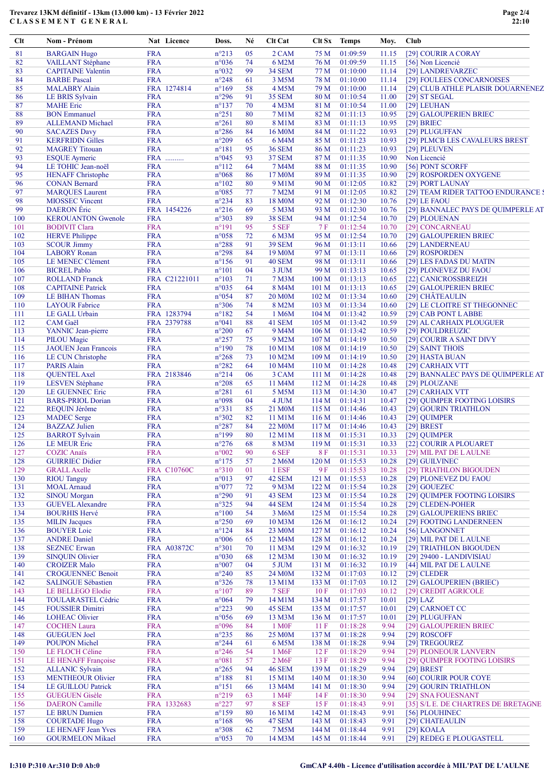## Trevarez 13KM définitif - 13km (13.000 km) - 13 Février 2022 CLASSEMENT GENERAL

| $Cl$ t     | Nom - Prénom                                     | Nat Licence               | Doss.                            | Né       | Clt Cat                |                           | Clt Sx Temps         | Moy.           | Club                                                  |
|------------|--------------------------------------------------|---------------------------|----------------------------------|----------|------------------------|---------------------------|----------------------|----------------|-------------------------------------------------------|
| 81         | <b>BARGAIN Hugo</b>                              | <b>FRA</b>                | $n^{\circ}213$                   | 05       | 2 CAM                  | 75 M                      | 01:09:59             | 11.15          | [29] COURIR A CORAY                                   |
| 82         | VAILLANT Stéphane                                | <b>FRA</b>                | n°036                            | 74       | 6 M2M                  | 76 M                      | 01:09:59             | 11.15          | [56] Non Licencié                                     |
| 83         | <b>CAPITAINE</b> Valentin                        | <b>FRA</b>                | n°032                            | 99       | <b>34 SEM</b>          | 77 M                      | 01:10:00             | 11.14          | [29] LANDREVARZEC                                     |
| 84         | <b>BARBE</b> Pascal                              | <b>FRA</b>                | $n^{\circ}248$                   | 61       | 3 M5M                  | 78 M                      | 01:10:00             | 11.14          | [29] FOULEES CONCARNOISES                             |
| 85         | <b>MALABRY Alain</b>                             | FRA 1274814               | $n^{\circ}169$                   | 58       | 4 M5M                  | 79 M                      | 01:10:00             | 11.14          | [29] CLUB ATHLE PLAISIR DOUARNENEZ                    |
| 86<br>87   | LE BRIS Sylvain<br><b>MAHE</b> Eric              | <b>FRA</b><br><b>FRA</b>  | $n^{\circ}296$<br>$n^{\circ}137$ | 91<br>70 | <b>35 SEM</b><br>4 M3M | 80 M<br>81 M              | 01:10:54<br>01:10:54 | 11.00<br>11.00 | $[29]$ ST SEGAL<br>[29] LEUHAN                        |
| 88         | <b>BON</b> Emmanuel                              | <b>FRA</b>                | $n^{\circ}251$                   | 80       | 7 M1M                  | 82 M                      | 01:11:13             | 10.95          | [29] GALOUPERIEN BRIEC                                |
| 89         | <b>ALLEMAND Michael</b>                          | <b>FRA</b>                | $n^{\circ}261$                   | 80       | 8 M1M                  | 83 M                      | 01:11:13             | 10.95          | $[29]$ BRIEC                                          |
| 90         | <b>SACAZES Davy</b>                              | <b>FRA</b>                | $n^{\circ}286$                   | 84       | 16 M0M                 | 84 M                      | 01:11:22             | 10.93          | [29] PLUGUFFAN                                        |
| 91         | <b>KERFRIDIN Gilles</b>                          | <b>FRA</b>                | $n^{\circ}209$                   | 65       | 6 M4M                  | 85 M                      | 01:11:23             | 10.93          | [29] PLMCB LES CAVALEURS BREST                        |
| 92         | <b>MAGREY</b> Titouan                            | <b>FRA</b>                | $n^{\circ}181$                   | 95       | <b>36 SEM</b>          | 86 M                      | 01:11:23             | 10.93          | [29] PLEUVEN                                          |
| 93         | <b>ESQUE</b> Aymeric                             | FRA                       | $n^{\circ}045$                   | 93       | <b>37 SEM</b>          | 87 M                      | 01:11:35             | 10.90          | Non Licencié                                          |
| 94         | LE TOHIC Jean-noël                               | <b>FRA</b>                | $n^{\circ}112$                   | 64       | 7 M4M                  | 88 M                      | 01:11:35             | 10.90          | [56] PONT SCORFF                                      |
| 95         | <b>HENAFF</b> Christophe                         | <b>FRA</b>                | $n^{\circ}068$                   | 86       | 17 M <sub>0</sub> M    | 89 M                      | 01:11:35             | 10.90          | [29] ROSPORDEN OXYGENE                                |
| 96         | <b>CONAN Bernard</b>                             | <b>FRA</b><br><b>FRA</b>  | $n^{\circ}102$                   | 80       | 9 M1M                  | 90 M                      | 01:12:05             | 10.82          | [29] PORT LAUNAY                                      |
| 97<br>98   | <b>MARQUES</b> Laurent<br><b>MIOSSEC Vincent</b> | <b>FRA</b>                | $n^{\circ}085$<br>$n^{\circ}234$ | 77<br>83 | 7 M2M<br>18 M0M        | 91 M<br>92 M              | 01:12:05<br>01:12:30 | 10.82<br>10.76 | [29] TEAM RIDER TATTOO ENDURANCE !<br>$[29]$ LE FAOU  |
| 99         | <b>DAERON</b> Eric                               | FRA 1454226               | $n^{\circ}216$                   | 69       | 5 M3M                  | 93 M                      | 01:12:30             | 10.76          | [29] BANNALEC PAYS DE QUIMPERLE AT                    |
| 100        | <b>KEROUANTON Gwenole</b>                        | <b>FRA</b>                | $n^{\circ}303$                   | 89       | <b>38 SEM</b>          | 94 M                      | 01:12:54             | 10.70          | [29] PLOUENAN                                         |
| 101        | <b>BODIVIT Clara</b>                             | <b>FRA</b>                | $n^{\circ}191$                   | 95       | 5 SEF                  | 7F                        | 01:12:54             | 10.70          | [29] CONCARNEAU                                       |
| 102        | <b>HERVE Philippe</b>                            | <b>FRA</b>                | $n^{\circ}058$                   | 72       | 6 M3M                  | 95 M                      | 01:12:54             | 10.70          | [29] GALOUPERIEN BRIEC                                |
| 103        | <b>SCOUR Jimmy</b>                               | <b>FRA</b>                | $n^{\circ}288$                   | 91       | <b>39 SEM</b>          | 96 M                      | 01:13:11             | 10.66          | [29] LANDERNEAU                                       |
| 104        | <b>LABORY</b> Ronan                              | <b>FRA</b>                | $n^{\circ}298$                   | 84       | 19 M <sub>0</sub> M    | 97 M                      | 01:13:11             | 10.66          | [29] ROSPORDEN                                        |
| 105        | LE MENEC Clément                                 | <b>FRA</b>                | $n^{\circ}156$                   | 91       | <b>40 SEM</b>          | 98 M                      | 01:13:11             | 10.66          | [29] LES FADAS DU MATIN                               |
| 106        | <b>BICREL Pablo</b>                              | <b>FRA</b>                | $n^{\circ}101$                   | 04       | 3 JUM                  | 99 M                      | 01:13:13             | 10.65          | [29] PLONEVEZ DU FAOU                                 |
| 107        | <b>ROLLAND</b> Franck                            | FRA C21221011             | $n^{\circ}103$                   | 71       | 7 M3M                  | 100 <sub>M</sub>          | 01:13:13             | 10.65          | [22] CANICROSSBREIZH                                  |
| 108        | <b>CAPITAINE Patrick</b>                         | <b>FRA</b>                | $n^{\circ}035$                   | 64       | 8 M4M                  | 101 <sub>M</sub>          | 01:13:13             | 10.65          | [29] GALOUPERIEN BRIEC                                |
| 109        | LE BIHAN Thomas                                  | <b>FRA</b>                | $n^{\circ}054$                   | 87       | <b>20 M0M</b>          | 102 <sub>M</sub>          | 01:13:34             | 10.60          | [29] CHÂTEAULIN                                       |
| 110        | <b>LAYOUR Fabrice</b>                            | <b>FRA</b>                | $n^{\circ}306$                   | 74       | 8 M2M                  | 103 M                     | 01:13:34             | 10.60          | [29] LE CLOITRE ST THEGONNEC                          |
| 111        | LE GALL Urbain                                   | FRA 1283794               | $n^{\circ}182$                   | 54       | 1 M6M                  | 104M                      | 01:13:42             | 10.59          | [29] CAB PONT LABBE                                   |
| 112<br>113 | <b>CAM</b> Gaël                                  | FRA 2379788<br><b>FRA</b> | n°041<br>$n^{\circ}200$          | 88<br>67 | 41 SEM<br>9 M4M        | 105 <sub>M</sub><br>106 M | 01:13:42<br>01:13:42 | 10.59          | [29] AL CARHAIX PLOUGUER                              |
| 114        | YANNIC Jean-pierre<br><b>PILOU</b> Magic         | <b>FRA</b>                | $n^{\circ}257$                   | 75       | 9 M2M                  | 107 <sub>M</sub>          | 01:14:19             | 10.59<br>10.50 | [29] POULDREUZIC<br>[29] COURIR A SAINT DIVY          |
| 115        | <b>JAOUEN</b> Jean Francois                      | <b>FRA</b>                | $n^{\circ}190$                   | 78       | 10 M1M                 | 108 <sub>M</sub>          | 01:14:19             | 10.50          | [29] SAINT THOIS                                      |
| 116        | LE CUN Christophe                                | <b>FRA</b>                | $n^{\circ}268$                   | 73       | 10 M2M                 | 109 <sub>M</sub>          | 01:14:19             | 10.50          | [29] HASTA BUAN                                       |
| 117        | <b>PARIS Alain</b>                               | <b>FRA</b>                | $n^{\circ}282$                   | 64       | 10 M4M                 | 110 M                     | 01:14:28             | 10.48          | [29] CARHAIX VTT                                      |
| 118        | <b>QUENTEL Axel</b>                              | FRA 2183846               | $n^{\circ}214$                   | 06       | 3 CAM                  | 111 M                     | 01:14:28             | 10.48          | [29] BANNALEC PAYS DE QUIMPERLE AT                    |
| 119        | <b>LESVEN</b> Stéphane                           | <b>FRA</b>                | $n^{\circ}208$                   | 65       | 11 M4M                 | 112M                      | 01:14:28             | 10.48          | [29] PLOUZANE                                         |
| 120        | <b>LE GUENNEC Eric</b>                           | <b>FRA</b>                | $n^{\circ}281$                   | 61       | 5 M5M                  | 113M                      | 01:14:30             | 10.47          | [29] CARHAIX VTT                                      |
| 121        | <b>BARS-PRIOL Dorian</b>                         | <b>FRA</b>                | n°098                            | 04       | 4 JUM                  | 114M                      | 01:14:31             | 10.47          | [29] QUIMPER FOOTING LOISIRS                          |
| 122        | <b>REQUIN Jérôme</b>                             | <b>FRA</b>                | $n^{\circ}331$                   | 85       | 21 M0M                 | 115M                      | 01:14:46             | 10.43          | [29] GOURIN TRIATHLON                                 |
| 123        | <b>MADEC</b> Serge                               | <b>FRA</b>                | $n^{\circ}302$                   | 82       | 11 M1M                 | 116M                      | 01:14:46             | 10.43          | [29] QUIMPER                                          |
| 124        | <b>BAZZAZ</b> Julien                             | <b>FRA</b>                | $n^{\circ}287$                   | 84       | 22 M <sub>0</sub> M    | 117 <sub>M</sub>          | 01:14:46             | 10.43          | $[29]$ BREST                                          |
| 125        | <b>BARROT</b> Sylvain                            | <b>FRA</b>                | $n^{\circ}199$                   | 80       | 12 M1M                 | 118M                      | 01:15:31             | 10.33          | [29] QUIMPER                                          |
| 126        | LE MEUR Eric<br><b>COZIC</b> Anaïs               | <b>FRA</b><br><b>FRA</b>  | $n^{\circ}276$<br>$n^{\circ}002$ | 68<br>90 | 8 M3M<br>6 SEF         | 119M<br>8F                | 01:15:31<br>01:15:31 | 10.33          | [22] COURIR A PLOUARET<br>[29] MIL PAT DE LAULNE      |
| 127<br>128 | <b>GUIRRIEC Didier</b>                           | <b>FRA</b>                | $n^{\circ}175$                   | 57       | 2 M6M                  | 120 <sub>M</sub>          | 01:15:53             | 10.33<br>10.28 | [29] GUILVINEC                                        |
| 129        | <b>GRALL Axelle</b>                              | <b>FRA C10760C</b>        | $n^{\circ}310$                   | 01       | 1 ESF                  | 9 F                       | 01:15:53             | 10.28          | [29] TRIATHLON BIGOUDEN                               |
| 130        | <b>RIOU Tanguy</b>                               | <b>FRA</b>                | n°013                            | 97       | 42 SEM                 | 121 <sub>M</sub>          | 01:15:53             | 10.28          | [29] PLONEVEZ DU FAOU                                 |
| 131        | <b>MOAL</b> Arnaud                               | <b>FRA</b>                | $n^{\circ}077$                   | 72       | 9 M3M                  | 122M                      | 01:15:54             | 10.28          | [29] GOUEZEC                                          |
| 132        | <b>SINOU Morgan</b>                              | <b>FRA</b>                | $n^{\circ}290$                   | 91       | 43 SEM                 | 123M                      | 01:15:54             | 10.28          | [29] QUIMPER FOOTING LOISIRS                          |
| 133        | <b>GUEVEL Alexandre</b>                          | <b>FRA</b>                | $n^{\circ}325$                   | 94       | 44 SEM                 | 124M                      | 01:15:54             | 10.28          | [29] CLEDEN-POHER                                     |
| 134        | <b>BOURHIS Hervé</b>                             | <b>FRA</b>                | $n^{\circ}100$                   | 54       | 3 M6M                  | 125 <sub>M</sub>          | 01:15:54             | 10.28          | [29] GALOUPERIENS BRIEC                               |
| 135        | <b>MILIN</b> Jacques                             | <b>FRA</b>                | $n^{\circ}250$                   | 69       | 10 M3M                 | 126M                      | 01:16:12             | 10.24          | [29] FOOTING LANDERNEEN                               |
| 136        | <b>BOUYER</b> Loic                               | <b>FRA</b>                | $n^{\circ}124$                   | 84       | 23 M <sub>0</sub> M    | 127 <sub>M</sub>          | 01:16:12             | 10.24          | [56] LANGONNET                                        |
| 137        | <b>ANDRE Daniel</b>                              | <b>FRA</b>                | $n^{\circ}006$                   | 65       | 12 M4M                 | 128 <sub>M</sub>          | 01:16:12             | 10.24          | [29] MIL PAT DE LAULNE                                |
| 138        | <b>SEZNEC</b> Erwan                              | FRA A03872C               | $n^{\circ}301$                   | 70       | 11 M3M                 | 129 <sub>M</sub>          | 01:16:32             | 10.19          | [29] TRIATHLON BIGOUDEN                               |
| 139        | <b>SINQUIN Olivier</b><br><b>CROIZER Malo</b>    | <b>FRA</b><br><b>FRA</b>  | $n^{\circ}030$<br>$n^{\circ}007$ | 68       | 12 M3M<br>5 JUM        | 130 <sub>M</sub>          | 01:16:32<br>01:16:32 | 10.19          | [29] 29400 - LANDIVISIAU                              |
| 140<br>141 | <b>CROGUENNEC Benoit</b>                         | <b>FRA</b>                | $n^{\circ}240$                   | 04<br>85 | 24 M <sub>0</sub> M    | 131M<br>132M              | 01:17:03             | 10.19<br>10.12 | [44] MIL PAT DE LAULNE<br>$[29]$ CLEDER               |
| 142        | <b>SALINGUE Sébastien</b>                        | <b>FRA</b>                | $n^{\circ}326$                   | 78       | 13 M1M                 | 133 M                     | 01:17:03             | 10.12          | [29] GALOUPERIEN (BRIEC)                              |
| 143        | <b>LE BELLEGO Elodie</b>                         | <b>FRA</b>                | $n^{\circ}107$                   | 89       | 7 SEF                  | 10F                       | 01:17:03             | 10.12          | [29] CREDIT AGRICOLE                                  |
| 144        | TOULARASTEL Cédric                               | <b>FRA</b>                | $n^{\circ}064$                   | 79       | 14 M1M                 | 134M                      | 01:17:57             | 10.01          | $[29]$ LAZ                                            |
| 145        | <b>FOUSSIER Dimitri</b>                          | <b>FRA</b>                | $n^{\circ}223$                   | 90       | 45 SEM                 | 135 <sub>M</sub>          | 01:17:57             | 10.01          | [29] CARNOET CC                                       |
| 146        | <b>LOHEAC Olivier</b>                            | <b>FRA</b>                | $n^{\circ}056$                   | 69       | 13 M3M                 | 136M                      | 01:17:57             | 10.01          | [29] PLUGUFFAN                                        |
| 147        | <b>COCHEN</b> Laura                              | <b>FRA</b>                | n°096                            | 84       | 1 M <sub>OF</sub>      | 11F                       | 01:18:28             | 9.94           | [29] GALOUPERIEN BRIEC                                |
| 148        | <b>GUEGUEN Joel</b>                              | <b>FRA</b>                | $n^{\circ}235$                   | 86       | 25 M <sub>0</sub> M    | 137 <sub>M</sub>          | 01:18:28             | 9.94           | $[29]$ ROSCOFF                                        |
| 149        | <b>POUPON Michel</b>                             | <b>FRA</b>                | $n^{\circ}244$                   | 61       | 6 M5M                  | 138 M                     | 01:18:28             | 9.94           | [29] TREGOUREZ                                        |
| 150        | LE FLOCH Céline                                  | <b>FRA</b>                | $n^{\circ}246$                   | 54       | 1 M <sub>6F</sub>      | 12F                       | 01:18:29             | 9.94           | [29] PLONEOUR LANVERN                                 |
| 151        | LE HENAFF Françoise                              | <b>FRA</b>                | $n^{\circ}081$                   | 57       | 2 M6F                  | 13 F                      | 01:18:29             | 9.94           | [29] QUIMPER FOOTING LOISIRS                          |
| 152        | <b>ALLANIC Sylvain</b>                           | <b>FRA</b>                | $n^{\circ}265$                   | 94       | <b>46 SEM</b>          | 139 M                     | 01:18:29             | 9.94           | $[29]$ BREST                                          |
| 153        | <b>MENTHEOUR Olivier</b>                         | <b>FRA</b>                | $n^{\circ}188$                   | 81       | 15 M1M                 | 140 <sub>M</sub>          | 01:18:30             | 9.94           | [60] COURIR POUR COYE                                 |
| 154        | <b>LE GUILLOU Patrick</b>                        | <b>FRA</b>                | $n^{\circ}151$                   | 66       | 13 M4M                 | 141 M                     | 01:18:30             | 9.94           | [29] GOURIN TRIATHLON                                 |
| 155<br>156 | <b>GUEGUEN Gisèle</b><br><b>DAERON</b> Camille   | <b>FRA</b>                | $n^{\circ}219$<br>$n^{\circ}227$ | 63<br>97 | 1 M4F<br>8 SEF         | 14F<br>15F                | 01:18:30<br>01:18:43 | 9.94<br>9.91   | [29] SNA FOUESNANT                                    |
| 157        | <b>LE BRUN Damien</b>                            | FRA 1332683<br><b>FRA</b> | $n^{\circ}159$                   | 80       | 16 M1M                 | 142 M                     | 01:18:43             | 9.91           | [35] S/L E. DE CHARTRES DE BRETAGNE<br>[56] PLOUHINEC |
| 158        | <b>COURTADE Hugo</b>                             | <b>FRA</b>                | $n^{\circ}168$                   | 96       | 47 SEM                 | 143M                      | 01:18:43             | 9.91           | [29] CHATEAULIN                                       |
| 159        | LE HENAFF Jean Yves                              | <b>FRA</b>                | $n^{\circ}308$                   | 62       | 7 M5M                  | 144 M                     | 01:18:44             | 9.91           | $[29]$ KOALA                                          |
| 160        | <b>GOURMELON Mikael</b>                          | <b>FRA</b>                | $n^{\circ}053$                   | 70       | 14 M3M                 | 145 M                     | 01:18:44             | 9.91           | [29] REDEG E PLOUGASTELL                              |
|            |                                                  |                           |                                  |          |                        |                           |                      |                |                                                       |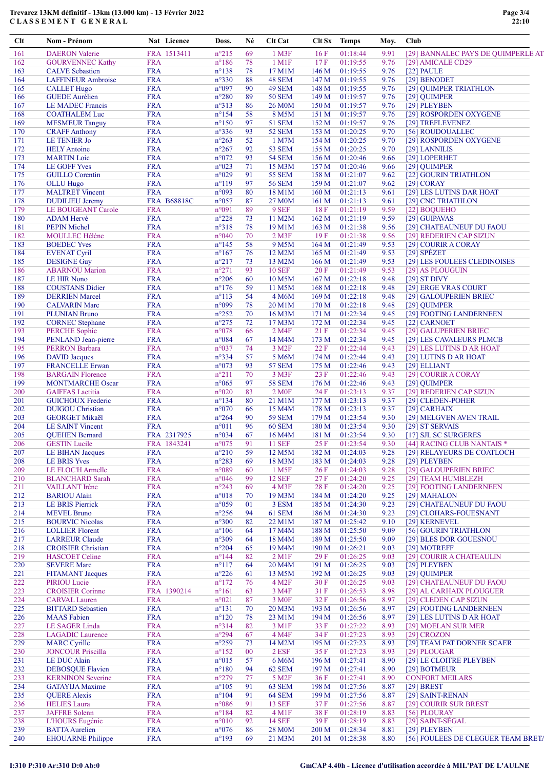## Trevarez 13KM définitif - 13km (13.000 km) - 13 Février 2022 CLASSEMENT GENERAL

| Clt        | Nom - Prénom                                        |                          | Nat Licence        | Doss.                   | Né       | Clt Cat                     |                  | Clt Sx Temps         | Moy.         | Club                                   |
|------------|-----------------------------------------------------|--------------------------|--------------------|-------------------------|----------|-----------------------------|------------------|----------------------|--------------|----------------------------------------|
| 161        | <b>DAERON</b> Valerie                               |                          | FRA 1513411        | $n^{\circ}215$          | 69       | $1$ M3F                     | 16F              | 01:18:44             | 9.91         | [29] BANNALEC PAYS DE QUIMPERLE AT     |
| 162        | <b>GOURVENNEC Kathy</b>                             | <b>FRA</b>               |                    | $n^{\circ}186$          | 78       | $1$ M $1$ F                 | 17F              | 01:19:55             | 9.76         | [29] AMICALE CD29                      |
| 163        | <b>CALVE</b> Sebastien                              | <b>FRA</b>               |                    | $n^{\circ}138$          | 78       | 17 M1M                      | 146 M            | 01:19:55             | 9.76         | $[22]$ PAULE                           |
| 164        | <b>LAFFINEUR Ambroise</b>                           | <b>FRA</b>               |                    | $n^{\circ}330$          | 88       | 48 SEM                      | 147 M            | 01:19:55             | 9.76         | [29] BENODET                           |
| 165        | <b>CALLET Hugo</b>                                  | <b>FRA</b>               |                    | n°097                   | 90       | 49 SEM                      | 148 M            | 01:19:55             | 9.76         | [29] QUIMPER TRIATHLON                 |
| 166        | <b>GUEDE Aurélien</b>                               | <b>FRA</b>               |                    | $n^{\circ}280$          | 89       | <b>50 SEM</b>               | 149 M            | 01:19:57             | 9.76         | [29] QUIMPER                           |
| 167        | LE MADEC Francis                                    | <b>FRA</b>               |                    | $n^{\circ}313$          | 86       | <b>26 M0M</b>               | 150 M            | 01:19:57             | 9.76         | [29] PLEYBEN                           |
| 168        | <b>COATHALEM Luc</b>                                | <b>FRA</b>               |                    | $n^{\circ}154$          | 58       | 8 M5M                       | 151 M            | 01:19:57             | 9.76         | [29] ROSPORDEN OXYGENE                 |
| 169        | <b>MESMEUR Tanguy</b>                               | <b>FRA</b>               |                    | $n^{\circ}150$          | 97       | <b>51 SEM</b>               | 152 M            | 01:19:57             | 9.76         | [29] TREFLEVENEZ                       |
| 170        | <b>CRAFF Anthony</b>                                | <b>FRA</b>               |                    | $n^{\circ}336$          | 93       | <b>52 SEM</b>               | 153 M            | 01:20:25             | 9.70         | [56] ROUDOUALLEC                       |
| 171        | LE TENIER Jo                                        | <b>FRA</b>               |                    | $n^{\circ}263$          | 52       | 1 M7M                       | 154 M            | 01:20:25             | 9.70         | [29] ROSPORDEN OXYGENE                 |
| 172        | <b>HELY</b> Antoine                                 | <b>FRA</b>               |                    | $n^{\circ}267$          | 92       | <b>53 SEM</b>               | 155 M            | 01:20:25             | 9.70         | [29] LANNILIS                          |
| 173        | <b>MARTIN</b> Loic                                  | <b>FRA</b>               |                    | $n^{\circ}072$          | 93       | <b>54 SEM</b>               | 156 M            | 01:20:46             | 9.66         | [29] LOPERHET                          |
| 174        | <b>LE GOFF Yves</b>                                 | <b>FRA</b>               |                    | n°023                   | 71       | 15 M3M                      | 157 <sub>M</sub> | 01:20:46             | 9.66         | [29] QUIMPER                           |
| 175        | <b>GUILLO</b> Corentin                              | <b>FRA</b>               |                    | n°029                   | 91       | <b>55 SEM</b>               | 158 M            | 01:21:07             | 9.62         | [22] GOURIN TRIATHLON                  |
| 176        | <b>OLLU</b> Hugo                                    | <b>FRA</b>               |                    | $n^{\circ}119$          | 97       | <b>56 SEM</b>               | 159M             | 01:21:07             | 9.62         | $[29]$ CORAY                           |
| 177        | <b>MALTRET Vincent</b>                              | <b>FRA</b>               |                    | n°093                   | 80       | 18 M1M                      | 160 M            | 01:21:13             | 9.61         | [29] LES LUTINS DAR HOAT               |
| 178<br>179 | <b>DUDILIEU Jeremy</b><br><b>LE BOUGEANT Carole</b> | <b>FRA</b>               | <b>FRA B68818C</b> | $n^{\circ}057$<br>n°091 | 87<br>89 | 27 M0M<br>9 SEF             | 161 M<br>18F     | 01:21:13<br>01:21:19 | 9.61<br>9.59 | [29] CNC TRIATHLON                     |
| 180        | <b>ADAM Hervé</b>                                   | <b>FRA</b>               |                    | $n^{\circ}228$          | 73       | 11 M2M                      | 162 M            | 01:21:19             | 9.59         | [22] BOQUEHO<br>[29] GUIPAVAS          |
| 181        | <b>PEPIN Michel</b>                                 | <b>FRA</b>               |                    | n°318                   | 78       | 19 M1M                      | 163 M            | 01:21:38             | 9.56         | [29] CHATEAUNEUF DU FAOU               |
| 182        | <b>MOULLEC Hélène</b>                               | <b>FRA</b>               |                    | $n^{\circ}040$          | 70       | $2$ M3F                     | 19F              | 01:21:38             | 9.56         | [29] REDERIEN CAP SIZUN                |
| 183        | <b>BOEDEC</b> Yves                                  | <b>FRA</b>               |                    | $n^{\circ}145$          | 58       | 9 M <sub>5</sub> M          | 164 M            | 01:21:49             | 9.53         | [29] COURIR A CORAY                    |
| 184        | <b>EVENAT Cyril</b>                                 | <b>FRA</b>               |                    | $n^{\circ}167$          | 76       | 12 M2M                      | 165 M            | 01:21:49             | 9.53         | $[29]$ SPÉZET                          |
| 185        | <b>DESIGNE Guy</b>                                  | <b>FRA</b>               |                    | $n^{\circ}217$          | 73       | 13 M2M                      | 166 M            | 01:21:49             | 9.53         | [29] LES FOULEES CLEDINOISES           |
| 186        | <b>ABARNOU</b> Marion                               | <b>FRA</b>               |                    | $n^{\circ}271$          | 93       | <b>10 SEF</b>               | 20F              | 01:21:49             | 9.53         | [29] AS PLOUGUIN                       |
| 187        | <b>LE HIR Nono</b>                                  | <b>FRA</b>               |                    | $n^{\circ}206$          | 60       | 10 M5M                      | 167 <sub>M</sub> | 01:22:18             | 9.48         | $[29]$ ST DIVY                         |
| 188        | <b>COUSTANS Didier</b>                              | <b>FRA</b>               |                    | $n^{\circ}176$          | 59       | 11 M5M                      | 168 <sub>M</sub> | 01:22:18             | 9.48         | [29] ERGE VRAS COURT                   |
| 189        | <b>DERRIEN</b> Marcel                               | <b>FRA</b>               |                    | $n^{\circ}113$          | 54       | 4 M6M                       | 169 <sub>M</sub> | 01:22:18             | 9.48         | [29] GALOUPERIEN BRIEC                 |
| 190        | <b>CALVARIN Marc</b>                                | <b>FRA</b>               |                    | n°099                   | 78       | 20 M1M                      | 170 M            | 01:22:18             | 9.48         | [29] QUIMPER                           |
| 191        | <b>PLUNIAN Bruno</b>                                | <b>FRA</b>               |                    | $n^{\circ}252$          | 70       | 16 M3M                      | 171 M            | 01:22:34             | 9.45         | [29] FOOTING LANDERNEEN                |
| 192        | <b>CORNEC Stephane</b>                              | <b>FRA</b>               |                    | $n^{\circ}275$          | 72       | 17 M3M                      | 172 M            | 01:22:34             | 9.45         | [22] CARNOET                           |
| 193        | <b>PERCHE</b> Sophie                                | <b>FRA</b>               |                    | $n^{\circ}078$          | 66       | 2 M4F                       | 21 F             | 01:22:34             | 9.45         | [29] GALUPERIEN BRIEC                  |
| 194        | PENLAND Jean-pierre                                 | <b>FRA</b>               |                    | $n^{\circ}084$          | 67       | 14 M4M                      | 173 M            | 01:22:34             | 9.45         | [29] LES CAVALEURS PLMCB               |
| 195        | <b>PERRON Barbara</b>                               | <b>FRA</b>               |                    | $n^{\circ}037$          | 74       | 3 M <sub>2</sub> F          | 22 F             | 01:22:44             | 9.43         | [29] LES LUTINS D AR HOAT              |
| 196        | <b>DAVID</b> Jacques                                | <b>FRA</b>               |                    | $n^{\circ}334$          | 57       | 5 M6M                       | 174 M            | 01:22:44             | 9.43         | [29] LUTINS D AR HOAT                  |
| 197        | <b>FRANCELLE Erwan</b>                              | <b>FRA</b>               |                    | $n^{\circ}073$          | 93       | <b>57 SEM</b>               | 175 M            | 01:22:46             | 9.43         | [29] ELLIANT                           |
| 198        | <b>BARGAIN Florence</b>                             | <b>FRA</b>               |                    | $n^{\circ}211$          | 70       | 3 M3F                       | 23 F             | 01:22:46             | 9.43         | [29] COURIR A CORAY                    |
| 199        | <b>MONTMARCHE Oscar</b>                             | <b>FRA</b>               |                    | $n^{\circ}065$          | 97       | <b>58 SEM</b>               | 176M             | 01:22:46             | 9.43         | [29] QUIMPER                           |
| 200        | <b>GAIFFAS</b> Laetitia                             | <b>FRA</b>               |                    | n°020                   | 83       | 2 M <sub>OF</sub>           | 24F              | 01:23:13             | 9.37         | [29] REDERIEN CAP SIZUN                |
| 201        | <b>GUICHOUX Frederic</b>                            | <b>FRA</b>               |                    | $n^{\circ}$ 134         | 80       | 21 M1M                      | 177 M            | 01:23:13             | 9.37         | [29] CLEDEN-POHER                      |
| 202        | <b>DUIGOU</b> Christian                             | <b>FRA</b>               |                    | $n^{\circ}070$          | 66       | 15 M4M                      | 178 M            | 01:23:13             | 9.37         | [29] CARHAIX                           |
| 203        | <b>GEORGET Mikaël</b>                               | <b>FRA</b>               |                    | $n^{\circ}264$          | 90       | <b>59 SEM</b>               | 179 M            | 01:23:54             | 9.30         | [29] MELGVEN AVEN TRAIL                |
| 204        | <b>LE SAINT Vincent</b>                             | <b>FRA</b>               |                    | $n^{\circ}011$          | 96       | <b>60 SEM</b>               | 180 M            | 01:23:54             | 9.30         | [29] ST SERVAIS                        |
| 205        | <b>QUEHEN Bernard</b>                               |                          | FRA 2317925        | n°034                   | 67       | 16 M4M                      | 181 M            | 01:23:54             | 9.30         | [17] SJL SC SURGERES                   |
| 206        | <b>GESTIN</b> Lucile                                |                          | FRA 1843241        | $n^{\circ}075$          | 91       | <b>11 SEF</b>               | 25 F             | 01:23:54             | 9.30         | [44] RACING CLUB NANTAIS *             |
| 207        | <b>LE BIHAN Jacques</b>                             | <b>FRA</b>               |                    | $n^{\circ}210$          | 59       | 12 M5M                      | 182 M            | 01:24:03             | 9.28         | [29] RELAYEURS DE COATLOCH             |
| 208<br>209 | <b>LE BRIS Yves</b><br>LE FLOC'H Armelle            | <b>FRA</b><br><b>FRA</b> |                    | $n^{\circ}283$<br>n°089 | 69       | 18 M3M<br>1 M <sub>5F</sub> | 183 M<br>26F     | 01:24:03<br>01:24:03 | 9.28<br>9.28 | [29] PLEYBEN<br>[29] GALOUPERIEN BRIEC |
| 210        | <b>BLANCHARD Sarah</b>                              | <b>FRA</b>               |                    | $n^{\circ}046$          | 60<br>99 | <b>12 SEF</b>               | 27 F             | 01:24:20             | 9.25         | [29] TEAM HUMBLEZH                     |
| 211        | VAILLANT Irène                                      | <b>FRA</b>               |                    | $n^{\circ}243$          | 69       | 4 M3F                       | 28 F             | 01:24:20             | 9.25         | [29] FOOTING LANDERNEEN                |
| 212        | <b>BARIOU</b> Alain                                 | <b>FRA</b>               |                    | n°018                   | 70       | 19 M3M                      | 184 M            | 01:24:20             | 9.25         | [29] MAHALON                           |
| 213        | <b>LE BRIS Pierrick</b>                             | <b>FRA</b>               |                    | $n^{\circ}059$          | 01       | 3 ESM                       | 185 M            | 01:24:30             | 9.23         | [29] CHATEAUNEUF DU FAOU               |
| 214        | <b>MEVEL Bruno</b>                                  | <b>FRA</b>               |                    | $n^{\circ}256$          | 94       | 61 SEM                      | 186 M            | 01:24:30             | 9.23         | [29] CLOHARS-FOUESNANT                 |
| 215        | <b>BOURVIC Nicolas</b>                              | <b>FRA</b>               |                    | $n^{\circ}300$          | 82       | 22 M1M                      | 187 M            | 01:25:42             | 9.10         | [29] KERNEVEL                          |
| 216        | <b>LOLLIER Florent</b>                              | <b>FRA</b>               |                    | $n^{\circ}106$          | 64       | 17 M4M                      | 188 M            | 01:25:50             | 9.09         | [56] GOURIN TRIATHLON                  |
| 217        | <b>LARREUR Claude</b>                               | <b>FRA</b>               |                    | n°309                   | 64       | 18 M4M                      | 189 M            | 01:25:50             | 9.09         | [29] BLES DOR GOUESNOU                 |
| 218        | <b>CROISIER Christian</b>                           | <b>FRA</b>               |                    | $n^{\circ}204$          | 65       | 19 M <sub>4</sub> M         | 190 <sub>M</sub> | 01:26:21             | 9.03         | [29] MOTREFF                           |
| 219        | <b>HASCOET Celine</b>                               | <b>FRA</b>               |                    | $n^{\circ}$ 144         | 82       | $2$ M <sub>1</sub> F        | 29F              | 01:26:25             | 9.03         | [29] COURIR A CHATEAULIN               |
| 220        | <b>SEVERE Marc</b>                                  | <b>FRA</b>               |                    | $n^{\circ}117$          | 64       | 20 M4M                      | 191 M            | 01:26:25             | 9.03         | [29] PLEYBEN                           |
| 221        | <b>FITAMANT Jacques</b>                             | <b>FRA</b>               |                    | $n^{\circ}226$          | 61       | 13 M5M                      | 192 M            | 01:26:25             | 9.03         | [29] QUIMPER                           |
| 222        | PIRIOU Lucie                                        | <b>FRA</b>               |                    | $n^{\circ}172$          | 76       | 4 M <sub>2</sub> F          | 30F              | 01:26:25             | 9.03         | [29] CHATEAUNEUF DU FAOU               |
| 223        | <b>CROISIER Corinne</b>                             |                          | FRA 1390214        | $n^{\circ}161$          | 63       | 3 M4F                       | 31 F             | 01:26:53             | 8.98         | [29] AL CARHAIX PLOUGUER               |
| 224        | <b>CARVAL Lauren</b>                                | <b>FRA</b>               |                    | $n^{\circ}021$          | 87       | 3 M <sub>OF</sub>           | 32 F             | 01:26:56             | 8.97         | [29] CLEDEN CAP SIZUN                  |
| 225        | <b>BITTARD</b> Sebastien                            | <b>FRA</b>               |                    | $n^{\circ}131$          | 70       | 20 M3M                      | 193 M            | 01:26:56             | 8.97         | [29] FOOTING LANDERNEEN                |
| 226        | <b>MAAS</b> Fabien                                  | <b>FRA</b>               |                    | $n^{\circ}120$          | 78       | 23 M1M                      | 194 M            | 01:26:56             | 8.97         | [29] LES LUTINS D AR HOAT              |
| 227        | <b>LE SAGER Linda</b>                               | <b>FRA</b>               |                    | $n^{\circ}314$          | 82       | 3 M1F                       | 33 F             | 01:27:22             | 8.93         | [29] MOELAN SUR MER                    |
| 228        | <b>LAGADIC</b> Laurence                             | <b>FRA</b>               |                    | $n^{\circ}294$          | 67       | 4 M4F                       | 34 F             | 01:27:23             | 8.93         | $[29]$ CROZON                          |
| 229        | <b>MARC</b> Cyrille                                 | <b>FRA</b>               |                    | $n^{\circ}259$          | 73       | 14 M2M                      | 195 M            | 01:27:23             | 8.93         | [29] TEAM PAT DORNER SCAER             |
| 230        | <b>JONCOUR Priscilla</b>                            | <b>FRA</b>               |                    | $n^{\circ}152$          | 00       | 2 ESF                       | 35 F             | 01:27:23             | 8.93         | [29] PLOUGAR                           |
| 231        | <b>LE DUC Alain</b>                                 | <b>FRA</b>               |                    | $n^{\circ}015$          | 57       | 6 M6M                       | 196 M            | 01:27:41             | 8.90         | [29] LE CLOITRE PLEYBEN                |
| 232        | <b>DEBOSQUE Flavien</b>                             | <b>FRA</b>               |                    | $n^{\circ}180$          | 94       | 62 SEM                      | 197 <sub>M</sub> | 01:27:41             | 8.90         | [29] BOTMEUR                           |
| 233        | <b>KERNINON Severine</b>                            | <b>FRA</b>               |                    | $n^{\circ}279$          | 77       | 5 M <sub>2</sub> F          | 36F              | 01:27:41             | 8.90         | <b>CONFORT MEILARS</b>                 |
| 234        | <b>GATAYIJA Maxime</b>                              | <b>FRA</b>               |                    | $n^{\circ}105$          | 91       | 63 SEM                      | 198 M            | 01:27:56             | 8.87         | $[29]$ BREST                           |
| 235        | <b>QUERE Alexis</b>                                 | <b>FRA</b>               |                    | $n^{\circ}104$          | 91       | 64 SEM                      | 199 M            | 01:27:56             | 8.87         | [29] SAINT-RENAN                       |
| 236        | <b>HELIES</b> Laura                                 | <b>FRA</b>               |                    | $n^{\circ}086$          | 91       | <b>13 SEF</b>               | 37F              | 01:27:56             | 8.87         | [29] COURIR SUR BREST                  |
| 237        | <b>JAFFRE</b> Solenn                                | <b>FRA</b>               |                    | $n^{\circ}184$          | 82       | $4 \,\mathrm{M1F}$          | 38 F             | 01:28:19             | 8.83         | [56] PLOURAY                           |
| 238        | <b>L'HOURS Eugénie</b>                              | <b>FRA</b>               |                    | $n^{\circ}010$          | 92       | <b>14 SEF</b>               | 39F              | 01:28:19             | 8.83         | [29] SAINT-SÉGAL                       |
| 239        | <b>BATTA Aurelien</b>                               | <b>FRA</b>               |                    | $n^{\circ}076$          | 86       | <b>28 M0M</b>               | 200 M            | 01:28:34             | 8.81         | [29] PLEYBEN                           |
| 240        | <b>EHOUARNE Philippe</b>                            | <b>FRA</b>               |                    | $n^{\circ}193$          | 69       | 21 M3M                      | 201 M            | 01:28:38             | 8.80         | [56] FOULEES DE CLEGUER TEAM BRETA     |

# I:310 P:310 Ar:310 D:0 Ab:0 GmCAP 4.40h - Licence d'utilisation accordée à MIL'PAT DE L'AULNE